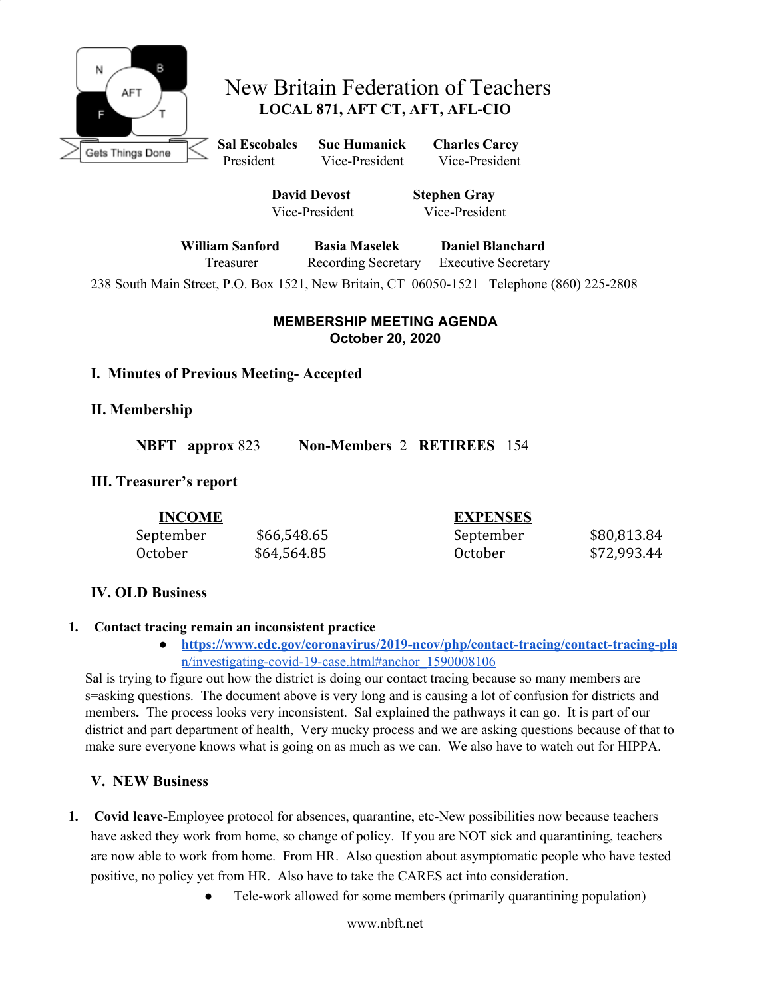

# New Britain Federation of Teachers **LOCAL 871, AFT CT, AFT, AFL-CIO**

**Sal Escobales Sue Humanick Charles Carey** President Vice-President Vice-President

> **David Devost Stephen Gray** Vice-President Vice-President

**William Sanford Basia Maselek Daniel Blanchard** Treasurer Recording Secretary Executive Secretary

238 South Main Street, P.O. Box 1521, New Britain, CT 06050-1521 Telephone (860) 225-2808

#### **MEMBERSHIP MEETING AGENDA October 20, 2020**

### **I. Minutes of Previous Meeting- Accepted**

**II. Membership**

**NBFT approx** 823 **Non-Members** 2 **RETIREES** 154

# **III. Treasurer's report**

| <b>INCOME</b> |             | <b>EXPENSES</b> |             |
|---------------|-------------|-----------------|-------------|
| September     | \$66,548.65 | September       | \$80,813.84 |
| October       | \$64,564.85 | October         | \$72,993.44 |

# **IV. OLD Business**

### **1. Contact tracing remain an inconsistent practice**

**● [https://www.cdc.gov/coronavirus/2019-ncov/php/contact-tracing/contact-tracing-pla](https://www.cdc.gov/coronavirus/2019-ncov/php/contact-tracing/contact-tracing-plan/investigating-covid-19-case.html#anchor_1590008106)** [n/investigating-covid-19-case.html#anchor\\_1590008106](https://www.cdc.gov/coronavirus/2019-ncov/php/contact-tracing/contact-tracing-plan/investigating-covid-19-case.html#anchor_1590008106)

Sal is trying to figure out how the district is doing our contact tracing because so many members are s=asking questions. The document above is very long and is causing a lot of confusion for districts and members**.** The process looks very inconsistent. Sal explained the pathways it can go. It is part of our district and part department of health, Very mucky process and we are asking questions because of that to make sure everyone knows what is going on as much as we can. We also have to watch out for HIPPA.

# **V. NEW Business**

- **1. Covid leave-**Employee protocol for absences, quarantine, etc-New possibilities now because teachers have asked they work from home, so change of policy. If you are NOT sick and quarantining, teachers are now able to work from home. From HR. Also question about asymptomatic people who have tested positive, no policy yet from HR. Also have to take the CARES act into consideration.
	- Tele-work allowed for some members (primarily quarantining population)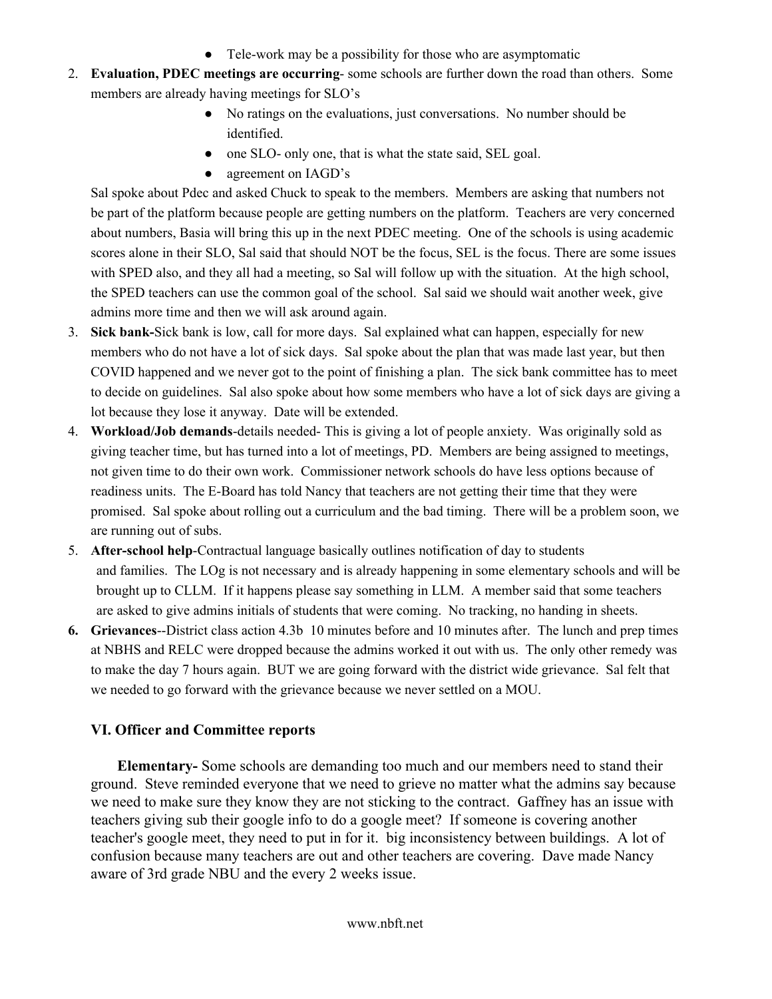- Tele-work may be a possibility for those who are asymptomatic
- 2. **Evaluation, PDEC meetings are occurring** some schools are further down the road than others. Some members are already having meetings for SLO's
	- No ratings on the evaluations, just conversations. No number should be identified.
	- one SLO- only one, that is what the state said, SEL goal.
	- agreement on IAGD's

Sal spoke about Pdec and asked Chuck to speak to the members. Members are asking that numbers not be part of the platform because people are getting numbers on the platform. Teachers are very concerned about numbers, Basia will bring this up in the next PDEC meeting. One of the schools is using academic scores alone in their SLO, Sal said that should NOT be the focus, SEL is the focus. There are some issues with SPED also, and they all had a meeting, so Sal will follow up with the situation. At the high school, the SPED teachers can use the common goal of the school. Sal said we should wait another week, give admins more time and then we will ask around again.

- 3. **Sick bank-**Sick bank is low, call for more days. Sal explained what can happen, especially for new members who do not have a lot of sick days. Sal spoke about the plan that was made last year, but then COVID happened and we never got to the point of finishing a plan. The sick bank committee has to meet to decide on guidelines. Sal also spoke about how some members who have a lot of sick days are giving a lot because they lose it anyway. Date will be extended.
- 4. **Workload/Job demands**-details needed- This is giving a lot of people anxiety. Was originally sold as giving teacher time, but has turned into a lot of meetings, PD. Members are being assigned to meetings, not given time to do their own work. Commissioner network schools do have less options because of readiness units. The E-Board has told Nancy that teachers are not getting their time that they were promised. Sal spoke about rolling out a curriculum and the bad timing. There will be a problem soon, we are running out of subs.
- 5. **After-school help**-Contractual language basically outlines notification of day to students and families. The LOg is not necessary and is already happening in some elementary schools and will be brought up to CLLM. If it happens please say something in LLM. A member said that some teachers are asked to give admins initials of students that were coming. No tracking, no handing in sheets.
- **6. Grievances**--District class action 4.3b 10 minutes before and 10 minutes after. The lunch and prep times at NBHS and RELC were dropped because the admins worked it out with us. The only other remedy was to make the day 7 hours again. BUT we are going forward with the district wide grievance. Sal felt that we needed to go forward with the grievance because we never settled on a MOU.

### **VI. Officer and Committee reports**

 **Elementary-** Some schools are demanding too much and our members need to stand their ground. Steve reminded everyone that we need to grieve no matter what the admins say because we need to make sure they know they are not sticking to the contract. Gaffney has an issue with teachers giving sub their google info to do a google meet? If someone is covering another teacher's google meet, they need to put in for it. big inconsistency between buildings. A lot of confusion because many teachers are out and other teachers are covering. Dave made Nancy aware of 3rd grade NBU and the every 2 weeks issue.